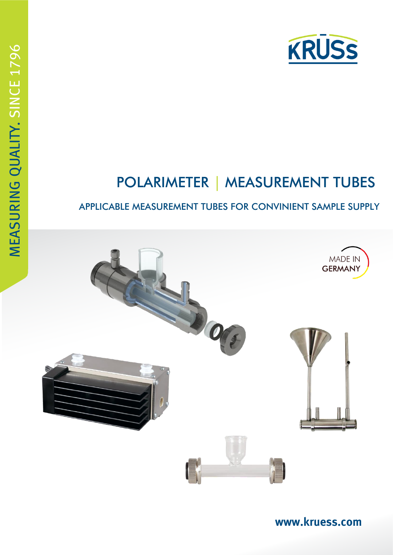

# POLARIMETER | MEASUREMENT TUBES

# APPLICABLE MEASUREMENT TUBES FOR CONVINIENT SAMPLE SUPPLY



**[www.kruess.com](http://www.kruess.com/)**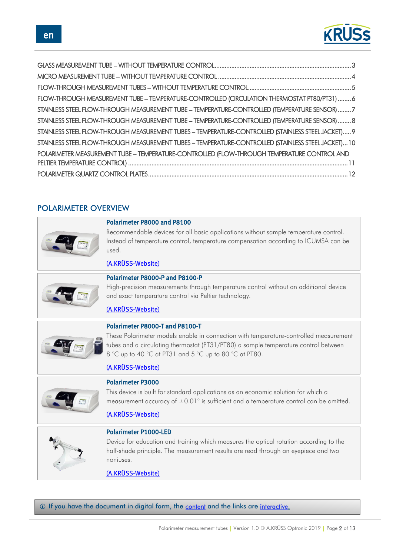

| FLOW-THROUGH MEASUREMENT TUBE - TEMPERATURE-CONTROLLED (CIRCULATION THERMOSTAT PT80/PT31)  6        |  |
|-----------------------------------------------------------------------------------------------------|--|
| STAINLESS STEEL FLOW-THROUGH MEASUREMENT TUBE - TEMPERATURE-CONTROLLED (TEMPERATURE SENSOR)  7      |  |
| STAINLESS STEEL FLOW-THROUGH MEASUREMENT TUBE - TEMPERATURE-CONTROLLED (TEMPERATURE SENSOR)  8      |  |
| STAINLESS STEEL FLOW-THROUGH MEASUREMENT TUBES - TEMPERATURE-CONTROLLED (STAINLESS STEEL JACKET) 9  |  |
| STAINLESS STEEL FLOW-THROUGH MEASUREMENT TUBES - TEMPERATURE-CONTROLLED (STAINLESS STEEL JACKET) 10 |  |
| POLARIMETER MEASUREMENT TUBE - TEMPERATURE-CONTROLLED (FLOW-THROUGH TEMPERATURE CONTROL AND         |  |
|                                                                                                     |  |
|                                                                                                     |  |

### POLARIMETER OVERVIEW



#### Polarimeter P8000 and P8100

Recommendable devices for all basic applications without sample temperature control. Instead of temperature control, temperature compensation according to ICUMSA can be used.

### [\(A.KRÜSS-Website\)](https://www.kruess.com/en/produkte/polarimeters-en/polarimeter-professional-en/p8000-p8100/)



### Polarimeter P8000-P and P8100-P

High-precision measurements through temperature control without an additional device and exact temperature control via Peltier technology.

### [\(A.KRÜSS-Website\)](https://www.kruess.com/en/produkte/polarimeters-en/polarimeter-professional-en/p8000-p-p8100-p/)



These Polarimeter models enable in connection with temperature-controlled measurement tubes and a circulating thermostat (PT31/PT80) a sample temperature control between 8 °C up to 40 °C at PT31 and 5 °C up to 80 °C at PT80.

### [\(A.KRÜSS-Website\)](https://www.kruess.com/en/produkte/polarimeters-en/polarimeter-professional-en/p8000-t-p8100-t/)



### Polarimeter P3000

This device is built for standard applications as an economic solution for which a measurement accuracy of  $\pm 0.01^{\circ}$  is sufficient and a temperature control can be omitted.

### [\(A.KRÜSS-Website\)](https://www.kruess.com/en/produkte/polarimeters-en/p3000/)



#### Polarimeter P1000-LED

Device for education and training which measures the optical rotation according to the half-shade principle. The measurement results are read through an eyepiece and two noniuses.

### [\(A.KRÜSS-Website\)](https://www.kruess.com/en/produkte/polarimeters-en/p1000-led/)

**1** If you have the document in digital form, the content and the links are interactive.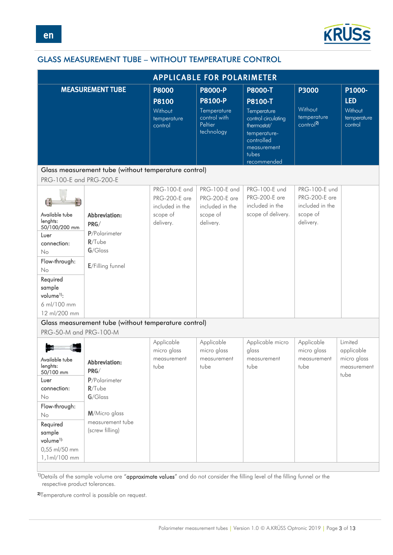

# <span id="page-2-0"></span>GLASS MEASUREMENT TUBE – WITHOUT TEMPERATURE CONTROL

| <b>APPLICABLE FOR POLARIMETER</b>                                                                                                                                                   |                                                                                                                           |                                                                                   |                                                                                          |                                                                                                                                                     |                                                                            |                                                             |  |
|-------------------------------------------------------------------------------------------------------------------------------------------------------------------------------------|---------------------------------------------------------------------------------------------------------------------------|-----------------------------------------------------------------------------------|------------------------------------------------------------------------------------------|-----------------------------------------------------------------------------------------------------------------------------------------------------|----------------------------------------------------------------------------|-------------------------------------------------------------|--|
|                                                                                                                                                                                     | <b>MEASUREMENT TUBE</b>                                                                                                   | <b>P8000</b><br><b>P8100</b><br>Without<br>temperature<br>control                 | <b>P8000-P</b><br><b>P8100-P</b><br>Temperature<br>control with<br>Peltier<br>technology | <b>P8000-T</b><br>P8100-T<br>Temperature<br>control circulating<br>thermostat/<br>temperature-<br>controlled<br>measurement<br>tubes<br>recommended | <b>P3000</b><br>Without<br>temperature<br>control <sup>2)</sup>            | P1000-<br><b>LED</b><br>Without<br>temperature<br>control   |  |
| PRG-100-E and PRG-200-E                                                                                                                                                             | Glass measurement tube (without temperature control)                                                                      |                                                                                   |                                                                                          |                                                                                                                                                     |                                                                            |                                                             |  |
| E<br>Available tube<br>lenghts:<br>50/100/200 mm<br>Luer<br>connection:<br>No<br>Flow-through:<br>No<br>Required<br>sample<br>volume <sup>1)</sup> :<br>6 ml/100 mm<br>12 ml/200 mm | Abbreviation:<br>PRG/<br>P/Polarimeter<br>$R/T$ ube<br>$G/G$ lass<br>E/Filling funnel                                     | PRG-100-E and<br><b>PRG-200-E</b> are<br>included in the<br>scope of<br>delivery. | PRG-100-E and<br><b>PRG-200-E</b> are<br>included in the<br>scope of<br>delivery.        | PRG-100-E und<br><b>PRG-200-E</b> are<br>included in the<br>scope of delivery.                                                                      | PRG-100-E und<br>PRG-200-E are<br>included in the<br>scope of<br>delivery. |                                                             |  |
| PRG-50-M and PRG-100-M                                                                                                                                                              | Glass measurement tube (without temperature control)                                                                      |                                                                                   |                                                                                          |                                                                                                                                                     |                                                                            |                                                             |  |
| Available tube<br>lenghts:<br>50/100 mm<br>Luer<br>connection:<br>No<br>Flow-through:<br>No<br>Required<br>sample<br>volume <sup>1):</sup><br>0,55 ml/50 mm<br>1,1ml/100 mm         | Abbreviation:<br>PRG/<br>P/Polarimeter<br>$R/T$ ube<br>$G/G$ lass<br>M/Micro glass<br>measurement tube<br>(screw filling) | Applicable<br>micro glass<br>measurement<br>tube                                  | Applicable<br>micro glass<br>measurement<br>tube                                         | Applicable micro<br>glass<br>measurement<br>tube                                                                                                    | Applicable<br>micro glass<br>measurement<br>tube                           | Limited<br>applicable<br>micro glass<br>measurement<br>tube |  |

1)Details of the sample volume are "approximate values" and do not consider the filling level of the filling funnel or the respective product tolerances.

2)Temperature control is possible on request.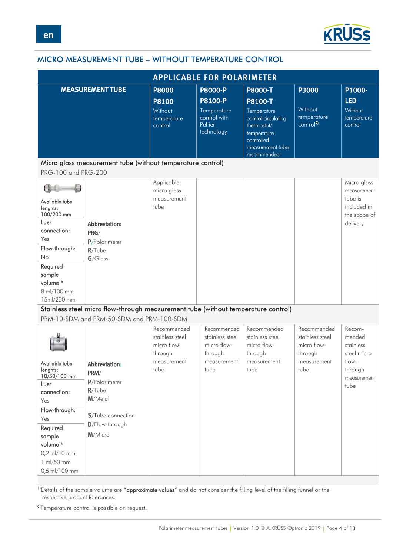

# <span id="page-3-0"></span>MICRO MEASUREMENT TUBE – WITHOUT TEMPERATURE CONTROL

| <b>APPLICABLE FOR POLARIMETER</b>                                                                                                                                                              |                                                                                                                                |                                                                                 |                                                                                   |                                                                                                                                                  |                                                                                 |                                                                                         |
|------------------------------------------------------------------------------------------------------------------------------------------------------------------------------------------------|--------------------------------------------------------------------------------------------------------------------------------|---------------------------------------------------------------------------------|-----------------------------------------------------------------------------------|--------------------------------------------------------------------------------------------------------------------------------------------------|---------------------------------------------------------------------------------|-----------------------------------------------------------------------------------------|
|                                                                                                                                                                                                | <b>MEASUREMENT TUBE</b>                                                                                                        | <b>P8000</b><br><b>P8100</b><br>Without<br>temperature<br>control               | <b>P8000-P</b><br>P8100-P<br>Temperature<br>control with<br>Peltier<br>technology | <b>P8000-T</b><br>P8100-T<br>Temperature<br>control circulating<br>thermostat/<br>temperature-<br>controlled<br>measurement tubes<br>recommended | P3000<br>Without<br>temperature<br>control <sup>2)</sup>                        | P1000-<br><b>LED</b><br>Without<br>temperature<br>control                               |
| PRG-100 and PRG-200                                                                                                                                                                            | Micro glass measurement tube (without temperature control)                                                                     |                                                                                 |                                                                                   |                                                                                                                                                  |                                                                                 |                                                                                         |
| Available tube<br>lenghts:<br>100/200 mm<br>Luer<br>connection:<br>Yes<br>Flow-through:<br>No<br>Required<br>sample<br>volume <sup>1):</sup><br>8 ml/100 mm<br>15ml/200 mm                     | Abbreviation:<br>PRG/<br>P/Polarimeter<br>$R/T$ ube<br>$G/G$ lass                                                              | Applicable<br>micro glass<br>measurement<br>tube                                |                                                                                   |                                                                                                                                                  |                                                                                 | Micro glass<br>measurement<br>tube is<br>included in<br>the scope of<br>delivery        |
|                                                                                                                                                                                                | Stainless steel micro flow-through measurement tube (without temperature control)<br>PRM-10-SDM and PRM-50-SDM and PRM-100-SDM |                                                                                 |                                                                                   |                                                                                                                                                  |                                                                                 |                                                                                         |
| Available tube<br>lenghts:<br>10/50/100 mm<br>Luer<br>connection:<br>Yes<br>Flow-through:<br>Yes<br>Required<br>sample<br>volume <sup>1):</sup><br>0,2 ml/10 mm<br>1 ml/50 mm<br>0,5 ml/100 mm | <b>Abbreviation:</b><br>PRM/<br>P/Polarimeter<br>$R/T$ ube<br>M/Metal<br>S/Tube connection<br>D/Flow-through<br>M/Micro        | Recommended<br>stainless steel<br>micro flow-<br>through<br>measurement<br>tube | Recommended<br>stainless steel<br>micro flow-<br>through<br>measurement<br>tube   | Recommended<br>stainless steel<br>micro flow-<br>through<br>measurement<br>tube                                                                  | Recommended<br>stainless steel<br>micro flow-<br>through<br>measurement<br>tube | Recom-<br>mended<br>stainless<br>steel micro<br>flow-<br>through<br>measurement<br>tube |

<sup>1)</sup>Details of the sample volume are "approximate values" and do not consider the filling level of the filling funnel or the respective product tolerances.

2)Temperature control is possible on request.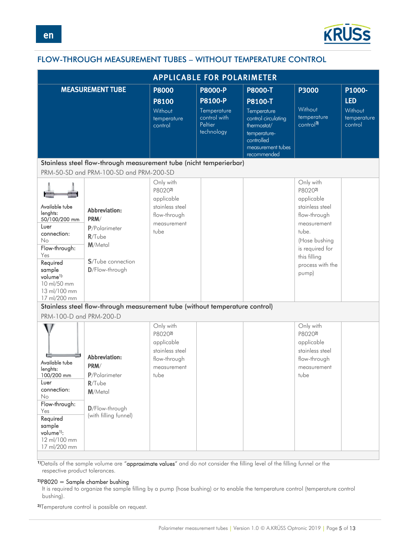

# <span id="page-4-0"></span>FLOW-THROUGH MEASUREMENT TUBES – WITHOUT TEMPERATURE CONTROL

| <b>APPLICABLE FOR POLARIMETER</b>                                                                                                                                                              |                                                                                                           |                                                                                              |                                       |                                                                                                      |                                                                                                                                                                                           |                        |  |
|------------------------------------------------------------------------------------------------------------------------------------------------------------------------------------------------|-----------------------------------------------------------------------------------------------------------|----------------------------------------------------------------------------------------------|---------------------------------------|------------------------------------------------------------------------------------------------------|-------------------------------------------------------------------------------------------------------------------------------------------------------------------------------------------|------------------------|--|
|                                                                                                                                                                                                | <b>MEASUREMENT TUBE</b>                                                                                   | <b>P8000</b>                                                                                 | <b>P8000-P</b>                        | <b>P8000-T</b>                                                                                       | <b>P3000</b>                                                                                                                                                                              | P1000-                 |  |
|                                                                                                                                                                                                |                                                                                                           | <b>P8100</b><br>Without                                                                      | <b>P8100-P</b><br>Temperature         | P8100-T<br>Temperature                                                                               | Without                                                                                                                                                                                   | <b>LED</b><br>Without  |  |
|                                                                                                                                                                                                |                                                                                                           | temperature<br>control                                                                       | control with<br>Peltier<br>technology | control circulating<br>thermostat/<br>temperature-<br>controlled<br>measurement tubes<br>recommended | temperature<br>control <sup>3)</sup>                                                                                                                                                      | temperature<br>control |  |
|                                                                                                                                                                                                | Stainless steel flow-through measurement tube (nicht temperierbar)                                        |                                                                                              |                                       |                                                                                                      |                                                                                                                                                                                           |                        |  |
|                                                                                                                                                                                                | PRM-50-SD and PRM-100-SD and PRM-200-SD                                                                   |                                                                                              |                                       |                                                                                                      |                                                                                                                                                                                           |                        |  |
| Available tube<br>lenghts:<br>50/100/200 mm<br>Luer<br>connection:<br>No<br>Flow-through:<br>Yes<br>Required<br>sample<br>volume <sup>1):</sup><br>10 ml/50 mm<br>13 ml/100 mm<br>17 ml/200 mm | Abbreviation:<br>PRM/<br>P/Polarimeter<br>$R/T$ ube<br>M/Metal<br>S/Tube connection<br>D/Flow-through     | Only with<br>P80202)<br>applicable<br>stainless steel<br>flow-through<br>measurement<br>tube |                                       |                                                                                                      | Only with<br>P8020 <sup>2</sup><br>applicable<br>stainless steel<br>flow-through<br>measurement<br>tube.<br>(Hose bushing<br>is required for<br>this filling<br>process with the<br>pump) |                        |  |
| PRM-100-D and PRM-200-D                                                                                                                                                                        | Stainless steel flow-through measurement tube (without temperature control)                               |                                                                                              |                                       |                                                                                                      |                                                                                                                                                                                           |                        |  |
| Available tube<br>lenghts:<br>100/200 mm<br>Luer<br>connection:<br>No<br>Flow-through:<br>Yes<br>Required<br>sample<br>volume <sup>1)</sup> :<br>12 ml/100 mm<br>17 ml/200 mm                  | Abbreviation:<br>PRM/<br>P/Polarimeter<br>$R/T$ ube<br>M/Metal<br>D/Flow-through<br>(with filling funnel) | Only with<br>P80202)<br>applicable<br>stainless steel<br>flow-through<br>measurement<br>tube |                                       |                                                                                                      | Only with<br>P80202)<br>applicable<br>stainless steel<br>flow-through<br>measurement<br>tube                                                                                              |                        |  |

1)Details of the sample volume are "approximate values" and do not consider the filling level of the filling funnel or the respective product tolerances.

### **2)**P8020 = Sample chamber bushing

It is required to organize the sample filling by a pump (hose bushing) or to enable the temperature control (temperature control bushing).

**3)**Temperature control is possible on request.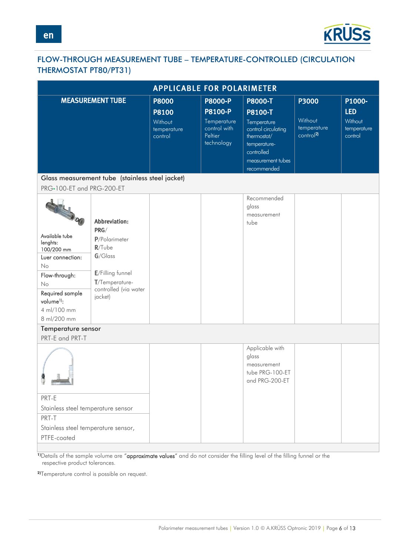

# <span id="page-5-0"></span>FLOW-THROUGH MEASUREMENT TUBE – TEMPERATURE-CONTROLLED (CIRCULATION THERMOSTAT PT80/PT31)

| <b>APPLICABLE FOR POLARIMETER</b>                                                                                                                                                      |                                                                                                                                             |                                   |                                                      |                                                                                                                     |                                                                     |                                   |
|----------------------------------------------------------------------------------------------------------------------------------------------------------------------------------------|---------------------------------------------------------------------------------------------------------------------------------------------|-----------------------------------|------------------------------------------------------|---------------------------------------------------------------------------------------------------------------------|---------------------------------------------------------------------|-----------------------------------|
|                                                                                                                                                                                        | <b>MEASUREMENT TUBE</b>                                                                                                                     | <b>P8000</b>                      | <b>P8000-P</b>                                       | <b>P8000-T</b>                                                                                                      | P3000                                                               | P1000-                            |
|                                                                                                                                                                                        |                                                                                                                                             | <b>P8100</b>                      | <b>P8100-P</b>                                       | P8100-T                                                                                                             |                                                                     | <b>LED</b>                        |
|                                                                                                                                                                                        |                                                                                                                                             | Without<br>temperature<br>control | Temperature<br>control with<br>Peltier<br>technology | Temperature<br>control circulating<br>thermostat/<br>temperature-<br>controlled<br>measurement tubes<br>recommended | Without<br>temperature<br>$\overline{\text{control}}$ <sup>2)</sup> | Without<br>temperature<br>control |
|                                                                                                                                                                                        | Glass measurement tube (stainless steel jacket)                                                                                             |                                   |                                                      |                                                                                                                     |                                                                     |                                   |
| PRG-100-ET and PRG-200-ET                                                                                                                                                              |                                                                                                                                             |                                   |                                                      |                                                                                                                     |                                                                     |                                   |
| <b>CALL OF</b><br>Available tube<br>lenghts:<br>100/200 mm<br>Luer connection:<br>No<br>Flow-through:<br>No<br>Required sample<br>volume <sup>1)</sup> :<br>4 ml/100 mm<br>8 ml/200 mm | Abbreviation:<br>PRG/<br>P/Polarimeter<br>$R/T$ ube<br>$G/G$ lass<br>E/Filling funnel<br>T/Temperature-<br>controlled (via water<br>jacket) |                                   |                                                      | Recommended<br>glass<br>measurement<br>tube                                                                         |                                                                     |                                   |
| Temperature sensor                                                                                                                                                                     |                                                                                                                                             |                                   |                                                      |                                                                                                                     |                                                                     |                                   |
| PRT-E and PRT-T                                                                                                                                                                        |                                                                                                                                             |                                   |                                                      |                                                                                                                     |                                                                     |                                   |
|                                                                                                                                                                                        |                                                                                                                                             |                                   |                                                      | Applicable with<br>glass<br>measurement<br>tube PRG-100-ET<br>and PRG-200-ET                                        |                                                                     |                                   |
| PRT-E                                                                                                                                                                                  |                                                                                                                                             |                                   |                                                      |                                                                                                                     |                                                                     |                                   |
| Stainless steel temperature sensor                                                                                                                                                     |                                                                                                                                             |                                   |                                                      |                                                                                                                     |                                                                     |                                   |
| PRT-T                                                                                                                                                                                  |                                                                                                                                             |                                   |                                                      |                                                                                                                     |                                                                     |                                   |
| Stainless steel temperature sensor,<br>PTFE-coated                                                                                                                                     |                                                                                                                                             |                                   |                                                      |                                                                                                                     |                                                                     |                                   |

1)Details of the sample volume are "approximate values" and do not consider the filling level of the filling funnel or the respective product tolerances.

**2)**Temperature control is possible on request.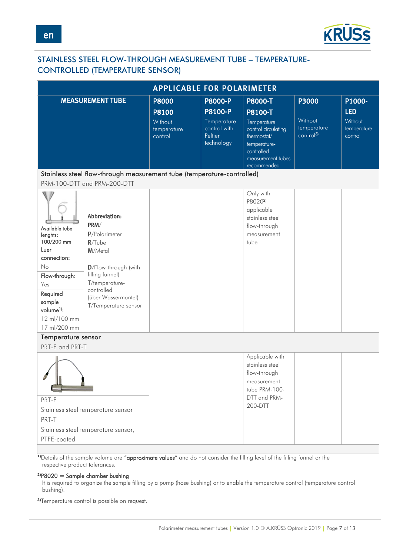

### <span id="page-6-0"></span>STAINLESS STEEL FLOW-THROUGH MEASUREMENT TUBE – TEMPERATURE-CONTROLLED (TEMPERATURE SENSOR)

|                                                                                                                                                                               | <b>APPLICABLE FOR POLARIMETER</b>                                                                                                                                                               |                                   |                                                      |                                                                                                                     |                                                         |                                   |  |
|-------------------------------------------------------------------------------------------------------------------------------------------------------------------------------|-------------------------------------------------------------------------------------------------------------------------------------------------------------------------------------------------|-----------------------------------|------------------------------------------------------|---------------------------------------------------------------------------------------------------------------------|---------------------------------------------------------|-----------------------------------|--|
|                                                                                                                                                                               | <b>MEASUREMENT TUBE</b>                                                                                                                                                                         | <b>P8000</b>                      | <b>P8000-P</b>                                       | <b>P8000-T</b>                                                                                                      | P3000                                                   | P1000-                            |  |
|                                                                                                                                                                               |                                                                                                                                                                                                 | <b>P8100</b>                      | <b>P8100-P</b>                                       | P8100-T                                                                                                             |                                                         | <b>LED</b>                        |  |
|                                                                                                                                                                               |                                                                                                                                                                                                 | Without<br>temperature<br>control | Temperature<br>control with<br>Peltier<br>technology | Temperature<br>control circulating<br>thermostat/<br>temperature-<br>controlled<br>measurement tubes<br>recommended | Without<br>temperature<br>$\overline{\text{control}}^3$ | Without<br>temperature<br>control |  |
|                                                                                                                                                                               | Stainless steel flow-through measurement tube (temperature-controlled)                                                                                                                          |                                   |                                                      |                                                                                                                     |                                                         |                                   |  |
|                                                                                                                                                                               | PRM-100-DTT and PRM-200-DTT                                                                                                                                                                     |                                   |                                                      |                                                                                                                     |                                                         |                                   |  |
| Available tube<br>lenghts:<br>100/200 mm<br>Luer<br>connection:<br>No<br>Flow-through:<br>Yes<br>Required<br>sample<br>volume <sup>1)</sup> :<br>12 ml/100 mm<br>17 ml/200 mm | <b>Abbreviation:</b><br>PRM/<br>P/Polarimeter<br>$R/T$ ube<br>M/Metal<br>D/Flow-through (with<br>filling funnel)<br>T/temperature-<br>controlled<br>(über Wassermantel)<br>T/Temperature sensor |                                   |                                                      | Only with<br>P80202)<br>applicable<br>stainless steel<br>flow-through<br>measurement<br>tube                        |                                                         |                                   |  |
| Temperature sensor                                                                                                                                                            |                                                                                                                                                                                                 |                                   |                                                      |                                                                                                                     |                                                         |                                   |  |
| PRT-E and PRT-T                                                                                                                                                               |                                                                                                                                                                                                 |                                   |                                                      |                                                                                                                     |                                                         |                                   |  |
|                                                                                                                                                                               |                                                                                                                                                                                                 |                                   |                                                      | Applicable with<br>stainless steel<br>flow-through<br>measurement<br>tube PRM-100-                                  |                                                         |                                   |  |
| PRT-E                                                                                                                                                                         |                                                                                                                                                                                                 |                                   |                                                      | DTT and PRM-                                                                                                        |                                                         |                                   |  |
|                                                                                                                                                                               | Stainless steel temperature sensor                                                                                                                                                              |                                   |                                                      | 200-DTT                                                                                                             |                                                         |                                   |  |
| PRT-T                                                                                                                                                                         |                                                                                                                                                                                                 |                                   |                                                      |                                                                                                                     |                                                         |                                   |  |
|                                                                                                                                                                               | Stainless steel temperature sensor,                                                                                                                                                             |                                   |                                                      |                                                                                                                     |                                                         |                                   |  |
| PTFE-coated                                                                                                                                                                   |                                                                                                                                                                                                 |                                   |                                                      |                                                                                                                     |                                                         |                                   |  |
|                                                                                                                                                                               |                                                                                                                                                                                                 |                                   |                                                      |                                                                                                                     |                                                         |                                   |  |

1)Details of the sample volume are "approximate values" and do not consider the filling level of the filling funnel or the respective product tolerances.

### **2)**P8020 = Sample chamber bushing

It is required to organize the sample filling by a pump (hose bushing) or to enable the temperature control (temperature control bushing).

**3)**Temperature control is possible on request.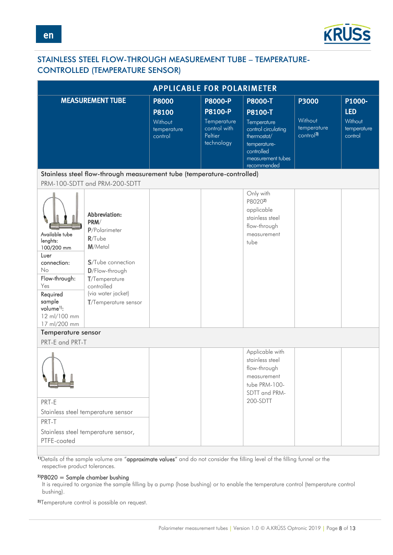

### <span id="page-7-0"></span>STAINLESS STEEL FLOW-THROUGH MEASUREMENT TUBE – TEMPERATURE-CONTROLLED (TEMPERATURE SENSOR)

|                                                                                                                                                                               | <b>APPLICABLE FOR POLARIMETER</b>                                                                                                                                                  |                                   |                                                      |                                                                                                                     |                                                 |                                   |  |
|-------------------------------------------------------------------------------------------------------------------------------------------------------------------------------|------------------------------------------------------------------------------------------------------------------------------------------------------------------------------------|-----------------------------------|------------------------------------------------------|---------------------------------------------------------------------------------------------------------------------|-------------------------------------------------|-----------------------------------|--|
|                                                                                                                                                                               | <b>MEASUREMENT TUBE</b>                                                                                                                                                            | <b>P8000</b>                      | <b>P8000-P</b>                                       | P8000-T                                                                                                             | P3000                                           | P1000-                            |  |
|                                                                                                                                                                               |                                                                                                                                                                                    | <b>P8100</b>                      | <b>P8100-P</b>                                       | P8100-T                                                                                                             |                                                 | <b>LED</b>                        |  |
|                                                                                                                                                                               |                                                                                                                                                                                    | Without<br>temperature<br>control | Temperature<br>control with<br>Peltier<br>technology | Temperature<br>control circulating<br>thermostat/<br>temperature-<br>controlled<br>measurement tubes<br>recommended | Without<br>temperature<br>control <sup>3)</sup> | Without<br>temperature<br>control |  |
|                                                                                                                                                                               | Stainless steel flow-through measurement tube (temperature-controlled)                                                                                                             |                                   |                                                      |                                                                                                                     |                                                 |                                   |  |
|                                                                                                                                                                               | PRM-100-SDTT and PRM-200-SDTT                                                                                                                                                      |                                   |                                                      |                                                                                                                     |                                                 |                                   |  |
| Available tube<br>lenghts:<br>100/200 mm<br>Luer<br>connection:<br>No<br>Flow-through:<br>Yes<br>Required<br>sample<br>volume <sup>1)</sup> :<br>12 ml/100 mm<br>17 ml/200 mm | Abbreviation:<br>PRM/<br>P/Polarimeter<br>$R/T$ ube<br>M/Metal<br>S/Tube connection<br>D/Flow-through<br>T/Temperature<br>controlled<br>(via water jacket)<br>T/Temperature sensor |                                   |                                                      | Only with<br>P80202)<br>applicable<br>stainless steel<br>flow-through<br>measurement<br>tube                        |                                                 |                                   |  |
| Temperature sensor                                                                                                                                                            |                                                                                                                                                                                    |                                   |                                                      |                                                                                                                     |                                                 |                                   |  |
| PRT-E and PRT-T                                                                                                                                                               |                                                                                                                                                                                    |                                   |                                                      |                                                                                                                     |                                                 |                                   |  |
|                                                                                                                                                                               |                                                                                                                                                                                    |                                   |                                                      | Applicable with<br>stainless steel<br>flow-through<br>measurement<br>tube PRM-100-<br>SDTT and PRM-                 |                                                 |                                   |  |
| PRT-E                                                                                                                                                                         |                                                                                                                                                                                    |                                   |                                                      | 200-SDTT                                                                                                            |                                                 |                                   |  |
|                                                                                                                                                                               | Stainless steel temperature sensor                                                                                                                                                 |                                   |                                                      |                                                                                                                     |                                                 |                                   |  |
| PRT-T                                                                                                                                                                         |                                                                                                                                                                                    |                                   |                                                      |                                                                                                                     |                                                 |                                   |  |
| PTFE-coated                                                                                                                                                                   | Stainless steel temperature sensor,                                                                                                                                                |                                   |                                                      |                                                                                                                     |                                                 |                                   |  |
|                                                                                                                                                                               |                                                                                                                                                                                    |                                   |                                                      |                                                                                                                     |                                                 |                                   |  |

1)Details of the sample volume are "approximate values" and do not consider the filling level of the filling funnel or the respective product tolerances.

### **2)**P8020 = Sample chamber bushing

It is required to organize the sample filling by a pump (hose bushing) or to enable the temperature control (temperature control bushing).

**3)**Temperature control is possible on request.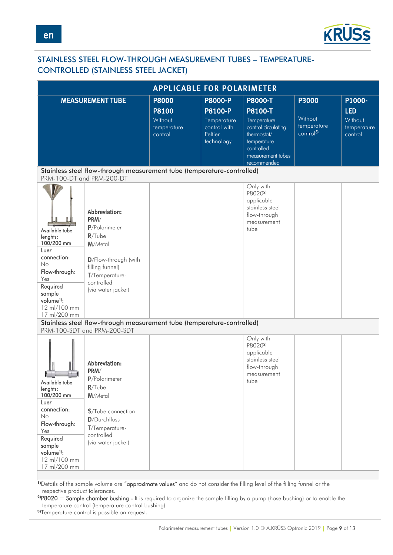

# <span id="page-8-0"></span>STAINLESS STEEL FLOW-THROUGH MEASUREMENT TUBES – TEMPERATURE-CONTROLLED (STAINLESS STEEL JACKET)

| <b>APPLICABLE FOR POLARIMETER</b>                                                                                                                                             |                                                                                                                                                                 |                                                                   |                                                                                          |                                                                                                                                          |                                                          |                                                           |
|-------------------------------------------------------------------------------------------------------------------------------------------------------------------------------|-----------------------------------------------------------------------------------------------------------------------------------------------------------------|-------------------------------------------------------------------|------------------------------------------------------------------------------------------|------------------------------------------------------------------------------------------------------------------------------------------|----------------------------------------------------------|-----------------------------------------------------------|
|                                                                                                                                                                               | <b>MEASUREMENT TUBE</b>                                                                                                                                         | <b>P8000</b><br><b>P8100</b><br>Without<br>temperature<br>control | <b>P8000-P</b><br><b>P8100-P</b><br>Temperature<br>control with<br>Peltier<br>technology | <b>P8000-T</b><br><b>P8100-T</b><br>Temperature<br>control circulating<br>thermostat/<br>temperature-<br>controlled<br>measurement tubes | P3000<br>Without<br>temperature<br>control <sup>3)</sup> | P1000-<br><b>LED</b><br>Without<br>temperature<br>control |
|                                                                                                                                                                               | Stainless steel flow-through measurement tube (temperature-controlled)                                                                                          |                                                                   |                                                                                          | recommended                                                                                                                              |                                                          |                                                           |
|                                                                                                                                                                               | PRM-100-DT and PRM-200-DT                                                                                                                                       |                                                                   |                                                                                          |                                                                                                                                          |                                                          |                                                           |
| Available tube<br>lenghts:<br>100/200 mm<br>Luer<br>connection:<br>No<br>Flow-through:<br>Yes<br>Required<br>sample<br>volume <sup>1)</sup> :<br>12 ml/100 mm<br>17 ml/200 mm | Abbreviation:<br>PRM/<br>P/Polarimeter<br>$R/T$ ube<br>M/Metal<br>D/Flow-through (with<br>filling funnel)<br>T/Temperature-<br>controlled<br>(via water jacket) |                                                                   |                                                                                          | Only with<br>P80202)<br>applicable<br>stainless steel<br>flow-through<br>measurement<br>tube                                             |                                                          |                                                           |
|                                                                                                                                                                               | Stainless steel flow-through measurement tube (temperature-controlled)<br>PRM-100-SDT and PRM-200-SDT                                                           |                                                                   |                                                                                          |                                                                                                                                          |                                                          |                                                           |
| <b>College College</b><br>Available tube<br>lenghts:<br>100/200 mm                                                                                                            | Abbreviation:<br>PRM/<br>P/Polarimeter<br>$R/T$ ube<br>M/Metal                                                                                                  |                                                                   |                                                                                          | Only with<br>P80202)<br>applicable<br>stainless steel<br>flow-through<br>measurement<br>tube                                             |                                                          |                                                           |
| Luer<br>connection:<br>No<br>Flow-through:<br>Yes<br>Required<br>sample<br>volume <sup>1)</sup> :<br>12 ml/100 mm<br>17 ml/200 mm                                             | <b>S</b> /Tube connection<br>D/Durchfluss<br>T/Temperature-<br>controlled<br>(via water jacket)                                                                 |                                                                   |                                                                                          |                                                                                                                                          |                                                          |                                                           |

1)Details of the sample volume are "**approximate values**" and do not consider the filling level of the filling funnel or the respective product tolerances.

**2)**P8020 = Sample chamber bushing - It is required to organize the sample filling by a pump (hose bushing) or to enable the temperature control (temperature control bushing).

**3)**Temperature control is possible on request.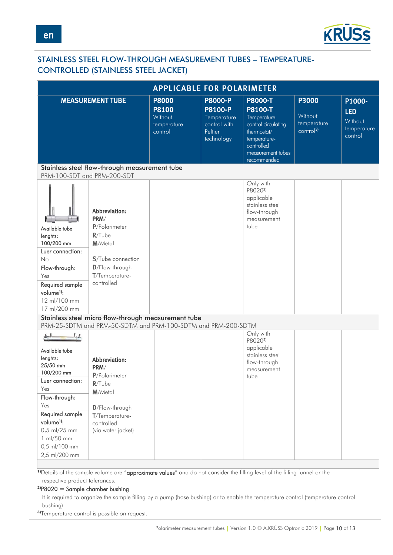

# <span id="page-9-0"></span>STAINLESS STEEL FLOW-THROUGH MEASUREMENT TUBES – TEMPERATURE-CONTROLLED (STAINLESS STEEL JACKET)

| <b>APPLICABLE FOR POLARIMETER</b>                                                                                                                                                                                    |                                                                                                                                               |                                                                   |                                                                                          |                                                                                                                                                  |                                                          |                                                           |
|----------------------------------------------------------------------------------------------------------------------------------------------------------------------------------------------------------------------|-----------------------------------------------------------------------------------------------------------------------------------------------|-------------------------------------------------------------------|------------------------------------------------------------------------------------------|--------------------------------------------------------------------------------------------------------------------------------------------------|----------------------------------------------------------|-----------------------------------------------------------|
|                                                                                                                                                                                                                      | <b>MEASUREMENT TUBE</b>                                                                                                                       | <b>P8000</b><br><b>P8100</b><br>Without<br>temperature<br>control | <b>P8000-P</b><br><b>P8100-P</b><br>Temperature<br>control with<br>Peltier<br>technology | <b>P8000-T</b><br>P8100-T<br>Temperature<br>control circulating<br>thermostat/<br>temperature-<br>controlled<br>measurement tubes<br>recommended | P3000<br>Without<br>temperature<br>control <sup>3)</sup> | P1000-<br><b>LED</b><br>Without<br>temperature<br>control |
| PRM-100-SDT and PRM-200-SDT                                                                                                                                                                                          | Stainless steel flow-through measurement tube                                                                                                 |                                                                   |                                                                                          |                                                                                                                                                  |                                                          |                                                           |
| Available tube<br>lenghts:<br>100/200 mm<br>Luer connection:<br>No<br>Flow-through:<br>Yes<br>Required sample<br>volume <sup>1</sup> ):<br>12 ml/100 mm<br>17 ml/200 mm                                              | Abbreviation:<br>PRM/<br>P/Polarimeter<br>$R/T$ ube<br>M/Metal<br><b>S</b> /Tube connection<br>D/Flow-through<br>T/Temperature-<br>controlled |                                                                   |                                                                                          | Only with<br>P80202)<br>applicable<br>stainless steel<br>flow-through<br>measurement<br>tube                                                     |                                                          |                                                           |
|                                                                                                                                                                                                                      | Stainless steel micro flow-through measurement tube<br>PRM-25-SDTM and PRM-50-SDTM and PRM-100-SDTM and PRM-200-SDTM                          |                                                                   |                                                                                          |                                                                                                                                                  |                                                          |                                                           |
| Available tube<br>lenghts:<br>25/50 mm<br>100/200 mm<br>Luer connection:<br>Yes<br>Flow-through:<br>Yes<br>Required sample<br>volume <sup>1</sup> ):<br>0,5 ml/25 mm<br>1 ml/50 mm<br>0,5 ml/100 mm<br>2,5 ml/200 mm | Abbreviation:<br>PRM/<br>P/Polarimeter<br>$R/T$ ube<br>M/Metal<br>D/Flow-through<br>T/Temperature-<br>controlled<br>(via water jacket)        |                                                                   |                                                                                          | Only with<br>P80202)<br>applicable<br>stainless steel<br>flow-through<br>measurement<br>tube                                                     |                                                          |                                                           |

1) Details of the sample volume are "approximate values" and do not consider the filling level of the filling funnel or the respective product tolerances.

#### **2)**P8020 = Sample chamber bushing

It is required to organize the sample filling by a pump (hose bushing) or to enable the temperature control (temperature control bushing).

**3)**Temperature control is possible on request.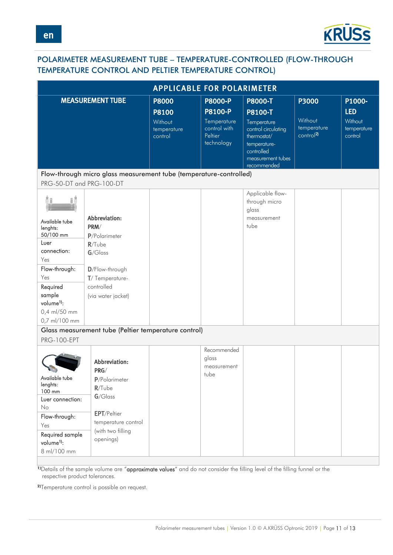

# <span id="page-10-0"></span>POLARIMETER MEASUREMENT TUBE – TEMPERATURE-CONTROLLED (FLOW-THROUGH TEMPERATURE CONTROL AND PELTIER TEMPERATURE CONTROL)

| <b>APPLICABLE FOR POLARIMETER</b>                                                                                                             |                                                                                                                                           |                                   |                                                      |                                                                                                                     |                                                 |                                   |
|-----------------------------------------------------------------------------------------------------------------------------------------------|-------------------------------------------------------------------------------------------------------------------------------------------|-----------------------------------|------------------------------------------------------|---------------------------------------------------------------------------------------------------------------------|-------------------------------------------------|-----------------------------------|
|                                                                                                                                               | <b>MEASUREMENT TUBE</b>                                                                                                                   | <b>P8000</b>                      | <b>P8000-P</b>                                       | <b>P8000-T</b>                                                                                                      | P3000                                           | P1000-                            |
|                                                                                                                                               |                                                                                                                                           | <b>P8100</b>                      | <b>P8100-P</b>                                       | P8100-T                                                                                                             |                                                 | <b>LED</b>                        |
|                                                                                                                                               |                                                                                                                                           | Without<br>temperature<br>control | Temperature<br>control with<br>Peltier<br>technology | Temperature<br>control circulating<br>thermostat/<br>temperature-<br>controlled<br>measurement tubes<br>recommended | Without<br>temperature<br>control <sup>2)</sup> | Without<br>temperature<br>control |
|                                                                                                                                               | Flow-through micro glass measurement tube (temperature-controlled)                                                                        |                                   |                                                      |                                                                                                                     |                                                 |                                   |
| PRG-50-DT and PRG-100-DT                                                                                                                      |                                                                                                                                           |                                   |                                                      |                                                                                                                     |                                                 |                                   |
| Available tube<br>lenghts:<br>50/100 mm<br>Luer<br>connection:<br>Yes<br>Flow-through:<br>Yes<br>Required<br>sample<br>volume <sup>1</sup> ): | Abbreviation:<br>PRM/<br>P/Polarimeter<br>$R/T$ ube<br>$G/G$ lass<br>D/Flow-through<br>T/Temperature-<br>controlled<br>(via water jacket) |                                   |                                                      | Applicable flow-<br>through micro<br>glass<br>measurement<br>tube                                                   |                                                 |                                   |
| 0,4 ml/50 mm                                                                                                                                  |                                                                                                                                           |                                   |                                                      |                                                                                                                     |                                                 |                                   |
| 0,7 ml/100 mm                                                                                                                                 |                                                                                                                                           |                                   |                                                      |                                                                                                                     |                                                 |                                   |
|                                                                                                                                               | Glass measurement tube (Peltier temperature control)                                                                                      |                                   |                                                      |                                                                                                                     |                                                 |                                   |
| <b>PRG-100-EPT</b>                                                                                                                            |                                                                                                                                           |                                   |                                                      |                                                                                                                     |                                                 |                                   |
| Available tube<br>lenghts:<br>100 mm                                                                                                          | Abbreviation:<br>PRG/<br>P/Polarimeter<br>$R/T$ ube                                                                                       |                                   | Recommended<br>glass<br>measurement<br>tube          |                                                                                                                     |                                                 |                                   |
| Luer connection:<br>No                                                                                                                        | $G/G$ lass                                                                                                                                |                                   |                                                      |                                                                                                                     |                                                 |                                   |
| Flow-through:<br>Yes                                                                                                                          | <b>EPT/Peltier</b><br>temperature control<br>(with two filling                                                                            |                                   |                                                      |                                                                                                                     |                                                 |                                   |
| Required sample<br>volume <sup>1</sup> ):<br>8 ml/100 mm                                                                                      | openings)                                                                                                                                 |                                   |                                                      |                                                                                                                     |                                                 |                                   |

**1)**Details of the sample volume are "**approximate values**" and do not consider the filling level of the filling funnel or the respective product tolerances.

**2)**Temperature control is possible on request.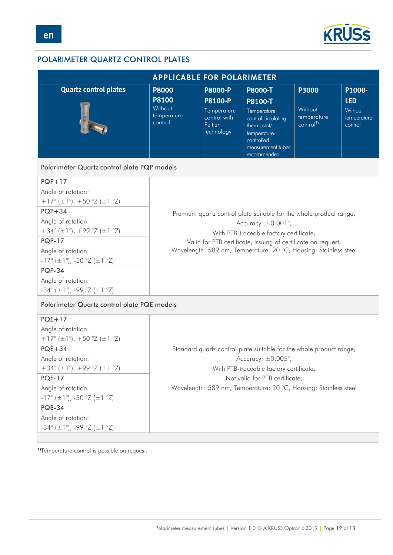

# <span id="page-11-0"></span>POLARIMETER QUARTZ CONTROL PLATES

| <b>APPLICABLE FOR POLARIMETER</b>                                      |                                                                            |                                                      |                                                                                                                     |                                                 |                                   |  |  |
|------------------------------------------------------------------------|----------------------------------------------------------------------------|------------------------------------------------------|---------------------------------------------------------------------------------------------------------------------|-------------------------------------------------|-----------------------------------|--|--|
| <b>Quartz control plates</b>                                           | <b>P8000</b><br><b>P8000-P</b><br><b>P8000-T</b><br><b>P3000</b><br>P1000- |                                                      |                                                                                                                     |                                                 |                                   |  |  |
|                                                                        | <b>P8100</b>                                                               | P8100-P                                              | P8100-T                                                                                                             |                                                 | <b>LED</b>                        |  |  |
|                                                                        | Without<br>temperature<br>control                                          | Temperature<br>control with<br>Peltier<br>technology | Temperature<br>control circulating<br>thermostat/<br>temperature-<br>controlled<br>measurement tubes<br>recommended | Without<br>temperature<br>control <sup>1)</sup> | Without<br>temperature<br>control |  |  |
| Polarimeter Quartz control plate PQP models                            |                                                                            |                                                      |                                                                                                                     |                                                 |                                   |  |  |
| $PQP+17$                                                               |                                                                            |                                                      |                                                                                                                     |                                                 |                                   |  |  |
| Angle of rotation:                                                     |                                                                            |                                                      |                                                                                                                     |                                                 |                                   |  |  |
| $+17^{\circ}$ ( $\pm 1^{\circ}$ ), $+50^{\circ}Z$ ( $\pm 1^{\circ}Z$ ) |                                                                            |                                                      |                                                                                                                     |                                                 |                                   |  |  |
| $PQP + 34$                                                             |                                                                            |                                                      | Premium quartz control plate suitable for the whole product range,                                                  |                                                 |                                   |  |  |
| Angle of rotation:                                                     |                                                                            |                                                      | Accuracy: $\pm 0.001^{\circ}$ ,                                                                                     |                                                 |                                   |  |  |
| $+34^{\circ}$ (±1°), +99 °Z (±1 °Z)                                    |                                                                            |                                                      | With PTB-traceable factory certificate,                                                                             |                                                 |                                   |  |  |
| <b>PQP-17</b>                                                          |                                                                            |                                                      | Valid for PTB certificate, issuing of certificate on request,                                                       |                                                 |                                   |  |  |
| Angle of rotation:                                                     |                                                                            |                                                      | Wavelength: 589 nm, Temperature: 20 °C, Housing: Stainless steel                                                    |                                                 |                                   |  |  |
| $-17^{\circ}$ ( $\pm 1^{\circ}$ ), $-50^{\circ}Z$ ( $\pm 1^{\circ}Z$ ) |                                                                            |                                                      |                                                                                                                     |                                                 |                                   |  |  |
| <b>PQP-34</b>                                                          |                                                                            |                                                      |                                                                                                                     |                                                 |                                   |  |  |
| Angle of rotation:                                                     |                                                                            |                                                      |                                                                                                                     |                                                 |                                   |  |  |
| $-34^{\circ}$ ( $\pm$ 1°), $-99^{\circ}$ Z ( $\pm$ 1 °Z)               |                                                                            |                                                      |                                                                                                                     |                                                 |                                   |  |  |
| Polarimeter Quartz control plate PQE models                            |                                                                            |                                                      |                                                                                                                     |                                                 |                                   |  |  |
| $PQE+17$                                                               |                                                                            |                                                      |                                                                                                                     |                                                 |                                   |  |  |
| Angle of rotation:                                                     |                                                                            |                                                      |                                                                                                                     |                                                 |                                   |  |  |
| $+17^{\circ}$ ( $\pm 1^{\circ}$ ), $+50^{\circ}Z$ ( $\pm 1^{\circ}Z$ ) |                                                                            |                                                      |                                                                                                                     |                                                 |                                   |  |  |
| $PQE+34$                                                               |                                                                            |                                                      | Standard quartz control plate suitable for the whole product range,                                                 |                                                 |                                   |  |  |
| Angle of rotation:                                                     |                                                                            |                                                      | Accuracy: $\pm 0.005^{\circ}$ ,                                                                                     |                                                 |                                   |  |  |
| $+34^{\circ}$ (±1°), +99 °Z (±1 °Z)                                    |                                                                            |                                                      | With PTB-traceable factory certificate,                                                                             |                                                 |                                   |  |  |
| <b>PQE-17</b>                                                          |                                                                            |                                                      | Not valid for PTB certificate,                                                                                      |                                                 |                                   |  |  |
| Angle of rotation:                                                     |                                                                            |                                                      | Wavelength: 589 nm, Temperature: 20 °C, Housing: Stainless steel                                                    |                                                 |                                   |  |  |
| $-17^{\circ}$ ( $\pm 1^{\circ}$ ), $-50^{\circ}Z$ ( $\pm 1^{\circ}Z$ ) |                                                                            |                                                      |                                                                                                                     |                                                 |                                   |  |  |
| <b>PQE-34</b>                                                          |                                                                            |                                                      |                                                                                                                     |                                                 |                                   |  |  |
| Angle of rotation:                                                     |                                                                            |                                                      |                                                                                                                     |                                                 |                                   |  |  |
| $-34^{\circ}$ ( $\pm 1^{\circ}$ ), $-99^{\circ}Z$ ( $\pm 1^{\circ}Z$ ) |                                                                            |                                                      |                                                                                                                     |                                                 |                                   |  |  |
|                                                                        |                                                                            |                                                      |                                                                                                                     |                                                 |                                   |  |  |

**1)**Temperature control is possible on request.